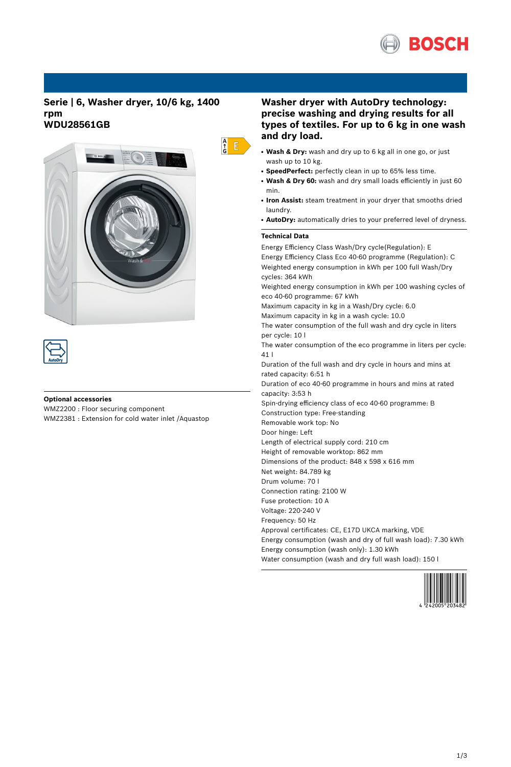

## **Serie | 6, Washer dryer, 10/6 kg, 1400 rpm WDU28561GB**





### **Optional accessories**

WMZ2200 : Floor securing component WMZ2381 : Extension for cold water inlet /Aquastop

# **Washer dryer with AutoDry technology: precise washing and drying results for all types of textiles. For up to 6 kg in one wash and dry load.**

- **Wash & Dry:** wash and dry up to 6 kg all in one go, or just wash up to 10 kg.
- **SpeedPerfect:** perfectly clean in up to 65% less time.
- **Wash & Dry 60:** wash and dry small loads efficiently in just 60 min.
- Iron Assist: steam treatment in your dryer that smooths dried laundry.
- AutoDry: automatically dries to your preferred level of dryness.

## **Technical Data**

 $\frac{A}{G}$   $\overline{E}$ 

Energy Efficiency Class Wash/Dry cycle(Regulation): E Energy Efficiency Class Eco 40-60 programme (Regulation): C Weighted energy consumption in kWh per 100 full Wash/Dry cycles: 364 kWh Weighted energy consumption in kWh per 100 washing cycles of eco 40-60 programme: 67 kWh Maximum capacity in kg in a Wash/Dry cycle: 6.0 Maximum capacity in kg in a wash cycle: 10.0 The water consumption of the full wash and dry cycle in liters per cycle: 10 l The water consumption of the eco programme in liters per cycle: 41 l Duration of the full wash and dry cycle in hours and mins at rated capacity: 6:51 h Duration of eco 40-60 programme in hours and mins at rated capacity: 3:53 h Spin-drying efficiency class of eco 40-60 programme: B Construction type: Free-standing Removable work top: No Door hinge: Left Length of electrical supply cord: 210 cm Height of removable worktop: 862 mm Dimensions of the product: 848 x 598 x 616 mm Net weight: 84.789 kg Drum volume: 70 l Connection rating: 2100 W Fuse protection: 10 A Voltage: 220-240 V Frequency: 50 Hz Approval certificates: CE, E17D UKCA marking, VDE Energy consumption (wash and dry of full wash load): 7.30 kWh Energy consumption (wash only): 1.30 kWh Water consumption (wash and dry full wash load): 150 l

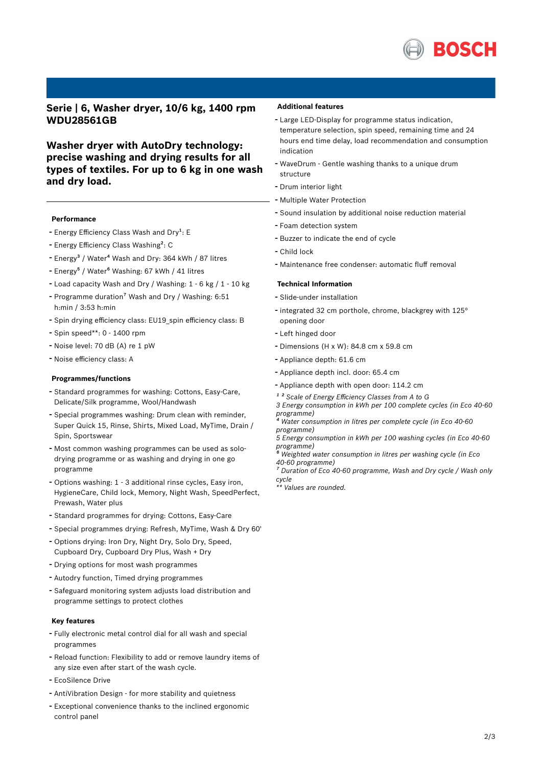

**Serie | 6, Washer dryer, 10/6 kg, 1400 rpm WDU28561GB**

**Washer dryer with AutoDry technology: precise washing and drying results for all types of textiles. For up to 6 kg in one wash and dry load.**

#### **Performance**

- Energy Efficiency Class Wash and Dry<sup>1</sup>: E
- Energy Efficiency Class Washing<sup>2</sup>: C
- Energy<sup>3</sup> / Water<sup>4</sup> Wash and Dry: 364 kWh / 87 litres
- Energy<sup>5</sup> / Water<sup>6</sup> Washing: 67 kWh / 41 litres
- Load capacity Wash and Dry / Washing: <sup>1</sup> <sup>6</sup> kg / <sup>1</sup> <sup>10</sup> kg
- Programme duration<sup>7</sup> Wash and Dry / Washing: 6:51 h:min / 3:53 h:min
- Spin drying efficiency class: EU19\_spin efficiency class: <sup>B</sup>
- Spin speed\*\*: <sup>0</sup> <sup>1400</sup> rpm
- Noise level: <sup>70</sup> dB (A) re <sup>1</sup> pW
- Noise efficiency class: <sup>A</sup>

#### **Programmes/functions**

- Standard programmes for washing: Cottons, Easy-Care, Delicate/Silk programme, Wool/Handwash
- Special programmes washing: Drum clean with reminder, Super Quick 15, Rinse, Shirts, Mixed Load, MyTime, Drain / Spin, Sportswear
- Most common washing programmes can be used as solodrying programme or as washing and drying in one go programme
- Options washing: <sup>1</sup> <sup>3</sup> additional rinse cycles, Easy iron, HygieneCare, Child lock, Memory, Night Wash, SpeedPerfect, Prewash, Water plus
- Standard programmes for drying: Cottons, Easy-Care
- Special programmes drying: Refresh, MyTime, Wash & Dry 60'
- Options drying: Iron Dry, Night Dry, Solo Dry, Speed, Cupboard Dry, Cupboard Dry Plus, Wash + Dry
- Drying options for most wash programmes
- Autodry function, Timed drying programmes
- Safeguard monitoring system adjusts load distribution and programme settings to protect clothes

#### **Key features**

- Fully electronic metal control dial for all wash and special programmes
- Reload function: Flexibility to add or remove laundry items of any size even after start of the wash cycle.
- EcoSilence Drive
- AntiVibration Design for more stability and quietness
- Exceptional convenience thanks to the inclined ergonomic control panel

#### **Additional features**

- Large LED-Display for programme status indication, temperature selection, spin speed, remaining time and 24 hours end time delay, load recommendation and consumption indication
- WaveDrum Gentle washing thanks to <sup>a</sup> unique drum structure
- Drum interior light
- Multiple Water Protection
- Sound insulation by additional noise reduction material
- Foam detection system
- Buzzer to indicate the end of cycle
- Child lock
- Maintenance free condenser: automatic fluff removal

#### **Technical Information**

- Slide-under installation
- integrated <sup>32</sup> cm porthole, chrome, blackgrey with 125° opening door
- Left hinged door
- Dimensions (H x W): 84.8 cm x 59.8 cm
- Appliance depth: 61.6 cm
- Appliance depth incl. door: 65.4 cm
- Appliance depth with open door: 114.2 cm
- *¹ ² Scale of Energy Efficiency Classes from A to G*

*3 Energy consumption in kWh per 100 complete cycles (in Eco 40-60 programme)*

*⁴ Water consumption in litres per complete cycle (in Eco 40-60 programme)*

*5 Energy consumption in kWh per 100 washing cycles (in Eco 40-60 programme)*

*⁶ Weighted water consumption in litres per washing cycle (in Eco 40-60 programme)*

*⁷ Duration of Eco 40-60 programme, Wash and Dry cycle / Wash only cycle*

*\*\* Values are rounded.*